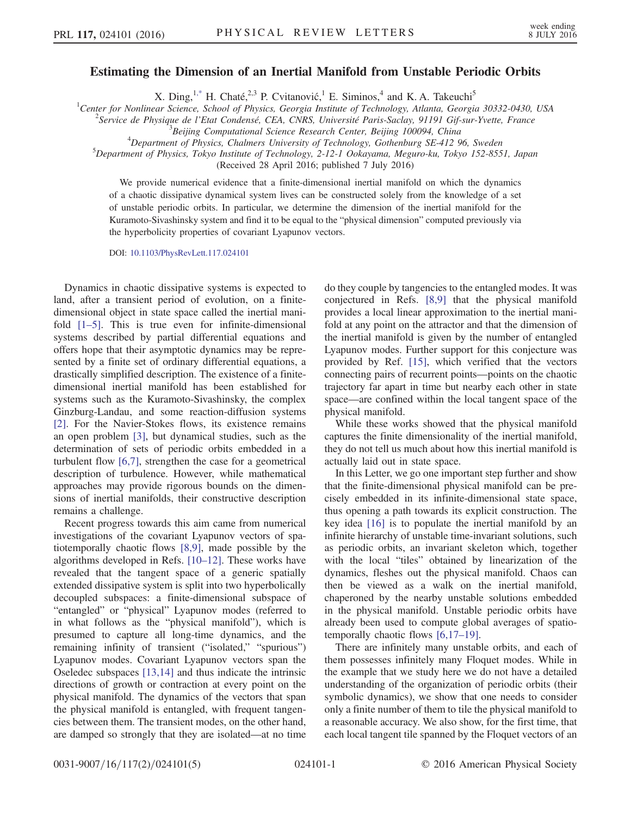## Estimating the Dimension of an Inertial Manifold from Unstable Periodic Orbits

X. Ding,<sup>1[,\\*](#page-4-0)</sup> H. Chaté,<sup>2,3</sup> P. Cvitanović,<sup>1</sup> E. Siminos,<sup>4</sup> and K. A. Takeuchi<sup>5</sup>

<span id="page-0-0"></span><sup>1</sup>Center for Nonlinear Science, School of Physics, Georgia Institute of Technology, Atlanta, Georgia 30332-0430, USA<br><sup>2</sup>Semises de Physique de l'Etat Condansé, CEA, CNBS, Université Barie Scolay, 01101 Cif sur Vuette, Era

<sup>2</sup>Service de Physique de l'Etat Condensé, CEA, CNRS, Université Paris-Saclay, 91191 Gif-sur-Yvette, France

 $B^3$ Beijing Computational Science Research Center, Beijing 100094, China

<sup>4</sup>Department of Physics, Chalmers University of Technology, Gothenburg SE-412 96, Sweden

Department of Physics, Tokyo Institute of Technology, 2-12-1 Ookayama, Meguro-ku, Tokyo 152-8551, Japan

(Received 28 April 2016; published 7 July 2016)

We provide numerical evidence that a finite-dimensional inertial manifold on which the dynamics of a chaotic dissipative dynamical system lives can be constructed solely from the knowledge of a set of unstable periodic orbits. In particular, we determine the dimension of the inertial manifold for the Kuramoto-Sivashinsky system and find it to be equal to the "physical dimension" computed previously via the hyperbolicity properties of covariant Lyapunov vectors.

DOI: [10.1103/PhysRevLett.117.024101](http://dx.doi.org/10.1103/PhysRevLett.117.024101)

Dynamics in chaotic dissipative systems is expected to land, after a transient period of evolution, on a finitedimensional object in state space called the inertial manifold  $[1-5]$ . This is true even for infinite-dimensional systems described by partial differential equations and offers hope that their asymptotic dynamics may be represented by a finite set of ordinary differential equations, a drastically simplified description. The existence of a finitedimensional inertial manifold has been established for systems such as the Kuramoto-Sivashinsky, the complex Ginzburg-Landau, and some reaction-diffusion systems [\[2\]](#page-4-2). For the Navier-Stokes flows, its existence remains an open problem [\[3\]](#page-4-3), but dynamical studies, such as the determination of sets of periodic orbits embedded in a turbulent flow [\[6,7\],](#page-4-4) strengthen the case for a geometrical description of turbulence. However, while mathematical approaches may provide rigorous bounds on the dimensions of inertial manifolds, their constructive description remains a challenge.

Recent progress towards this aim came from numerical investigations of the covariant Lyapunov vectors of spatiotemporally chaotic flows [\[8,9\]](#page-4-5), made possible by the algorithms developed in Refs. [10–[12\].](#page-4-6) These works have revealed that the tangent space of a generic spatially extended dissipative system is split into two hyperbolically decoupled subspaces: a finite-dimensional subspace of "entangled" or "physical" Lyapunov modes (referred to in what follows as the "physical manifold"), which is presumed to capture all long-time dynamics, and the remaining infinity of transient ("isolated," "spurious") Lyapunov modes. Covariant Lyapunov vectors span the Oseledec subspaces [\[13,14\]](#page-4-7) and thus indicate the intrinsic directions of growth or contraction at every point on the physical manifold. The dynamics of the vectors that span the physical manifold is entangled, with frequent tangencies between them. The transient modes, on the other hand, are damped so strongly that they are isolated—at no time

do they couple by tangencies to the entangled modes. It was conjectured in Refs. [\[8,9\]](#page-4-5) that the physical manifold provides a local linear approximation to the inertial manifold at any point on the attractor and that the dimension of the inertial manifold is given by the number of entangled Lyapunov modes. Further support for this conjecture was provided by Ref. [\[15\]](#page-4-8), which verified that the vectors connecting pairs of recurrent points—points on the chaotic trajectory far apart in time but nearby each other in state space—are confined within the local tangent space of the physical manifold.

While these works showed that the physical manifold captures the finite dimensionality of the inertial manifold, they do not tell us much about how this inertial manifold is actually laid out in state space.

In this Letter, we go one important step further and show that the finite-dimensional physical manifold can be precisely embedded in its infinite-dimensional state space, thus opening a path towards its explicit construction. The key idea [\[16\]](#page-4-9) is to populate the inertial manifold by an infinite hierarchy of unstable time-invariant solutions, such as periodic orbits, an invariant skeleton which, together with the local "tiles" obtained by linearization of the dynamics, fleshes out the physical manifold. Chaos can then be viewed as a walk on the inertial manifold, chaperoned by the nearby unstable solutions embedded in the physical manifold. Unstable periodic orbits have already been used to compute global averages of spatiotemporally chaotic flows [\[6,17](#page-4-4)–19].

There are infinitely many unstable orbits, and each of them possesses infinitely many Floquet modes. While in the example that we study here we do not have a detailed understanding of the organization of periodic orbits (their symbolic dynamics), we show that one needs to consider only a finite number of them to tile the physical manifold to a reasonable accuracy. We also show, for the first time, that each local tangent tile spanned by the Floquet vectors of an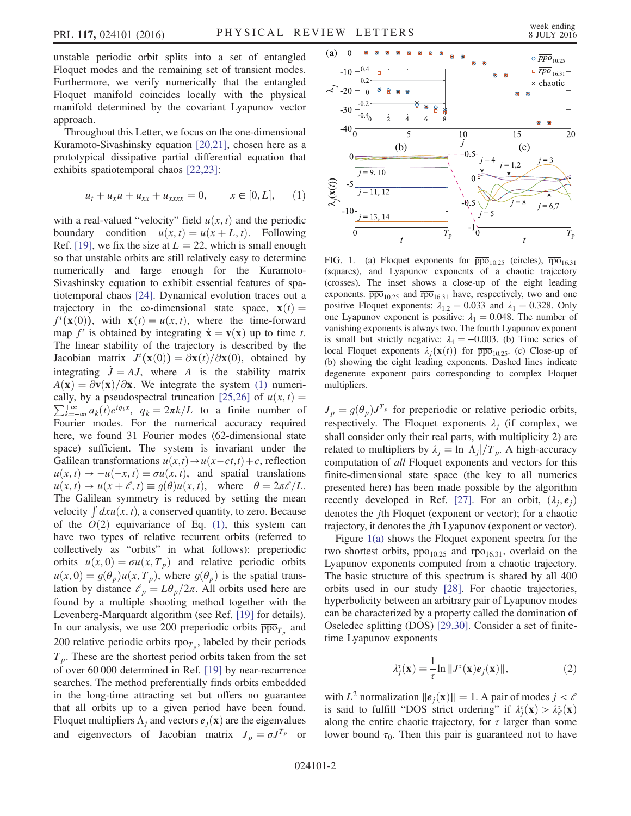unstable periodic orbit splits into a set of entangled Floquet modes and the remaining set of transient modes. Furthermore, we verify numerically that the entangled Floquet manifold coincides locally with the physical manifold determined by the covariant Lyapunov vector approach.

<span id="page-1-0"></span>Throughout this Letter, we focus on the one-dimensional Kuramoto-Sivashinsky equation [\[20,21\]](#page-4-10), chosen here as a prototypical dissipative partial differential equation that exhibits spatiotemporal chaos [\[22,23\]](#page-4-11):

$$
u_t + u_x u + u_{xx} + u_{xxxx} = 0, \qquad x \in [0, L], \qquad (1)
$$

with a real-valued "velocity" field  $u(x, t)$  and the periodic boundary condition  $u(x, t) = u(x + L, t)$ . Following Ref. [\[19\]](#page-4-12), we fix the size at  $L = 22$ , which is small enough so that unstable orbits are still relatively easy to determine numerically and large enough for the Kuramoto-Sivashinsky equation to exhibit essential features of spatiotemporal chaos [\[24\]](#page-4-13). Dynamical evolution traces out a trajectory in the ∞-dimensional state space,  $\mathbf{x}(t) =$  $f'(x(0))$ , with  $x(t) \equiv u(x, t)$ , where the time-forward map  $f^t$  is obtained by integrating  $\dot{\mathbf{x}} = \mathbf{v}(\mathbf{x})$  up to time t. The linear stability of the trajectory is described by the Jacobian matrix  $J'(x(0)) = \frac{\partial x(t)}{\partial x(0)}$ , obtained by integrating  $\dot{J} = AJ$ , where A is the stability matrix  $A(\mathbf{x}) = \partial \mathbf{v}(\mathbf{x})/\partial \mathbf{x}$ . We integrate the system [\(1\)](#page-1-0) numeri- $\sum_{k=-\infty}^{+\infty} a_k(t) e^{iq_k x}$ ,  $q_k = 2\pi k/L$  to a finite number of cally, by a pseudospectral truncation [\[25,26\]](#page-4-14) of  $u(x, t) =$ Fourier modes. For the numerical accuracy required here, we found 31 Fourier modes (62-dimensional state space) sufficient. The system is invariant under the Galilean transformations  $u(x,t) \rightarrow u(x-ct,t)+c$ , reflection  $u(x, t) \rightarrow -u(-x, t) \equiv \sigma u(x, t)$ , and spatial translations  $u(x, t) \rightarrow u(x + \ell, t) \equiv g(\theta)u(x, t)$ , where  $\theta = 2\pi\ell/L$ . The Galilean symmetry is reduced by setting the mean velocity  $\int dx u(x, t)$ , a conserved quantity, to zero. Because of the  $O(2)$  equivariance of Eq. [\(1\)](#page-1-0), this system can have two types of relative recurrent orbits (referred to collectively as "orbits" in what follows): preperiodic orbits  $u(x, 0) = \sigma u(x, T_p)$  and relative periodic orbits  $u(x, 0) = g(\theta_p)u(x, T_p)$ , where  $g(\theta_p)$  is the spatial translation by distance  $\ell_p = L\theta_p/2\pi$ . All orbits used here are found by a multiple shooting method together with the Levenberg-Marquardt algorithm (see Ref. [\[19\]](#page-4-12) for details). In our analysis, we use 200 preperiodic orbits  $\overline{ppo}_{T_n}$  and 200 relative periodic orbits  $\overline{rpo}_{T_p}$ , labeled by their periods  $T_p$ . These are the shortest period orbits taken from the set of over 60 000 determined in Ref. [\[19\]](#page-4-12) by near-recurrence searches. The method preferentially finds orbits embedded in the long-time attracting set but offers no guarantee that all orbits up to a given period have been found. Floquet multipliers  $\Lambda_i$  and vectors  $e_i(\mathbf{x})$  are the eigenvalues and eigenvectors of Jacobian matrix  $J_p = \sigma J^{T_p}$  or

<span id="page-1-1"></span>

FIG. 1. (a) Floquet exponents for  $\overline{ppo}_{10.25}$  (circles),  $\overline{ppo}_{16.31}$ (squares), and Lyapunov exponents of a chaotic trajectory (crosses). The inset shows a close-up of the eight leading exponents.  $\overline{ppo}_{10.25}$  and  $\overline{ppo}_{16.31}$  have, respectively, two and one positive Floquet exponents:  $\lambda_{1,2} = 0.033$  and  $\lambda_1 = 0.328$ . Only one Lyapunov exponent is positive:  $\lambda_1 = 0.048$ . The number of vanishing exponents is always two. The fourth Lyapunov exponent is small but strictly negative:  $\lambda_4 = -0.003$ . (b) Time series of local Floquet exponents  $\lambda_j(\mathbf{x}(t))$  for  $\overline{ppo}_{10.25}$ . (c) Close-up of (b) showing the eight leading exponents. Dashed lines indicate degenerate exponent pairs corresponding to complex Floquet multipliers.

 $J_p = g(\theta_p)J^{T_p}$  for preperiodic or relative periodic orbits, respectively. The Floquet exponents  $\lambda_j$  (if complex, we shall consider only their real parts, with multiplicity 2) are related to multipliers by  $\lambda_j = \ln |\Lambda_j|/T_p$ . A high-accuracy computation of all Floquet exponents and vectors for this finite-dimensional state space (the key to all numerics presented here) has been made possible by the algorithm recently developed in Ref. [\[27\].](#page-4-15) For an orbit,  $(\lambda_i, e_i)$ denotes the jth Floquet (exponent or vector); for a chaotic trajectory, it denotes the jth Lyapunov (exponent or vector).

Figure [1\(a\)](#page-1-1) shows the Floquet exponent spectra for the two shortest orbits,  $\overline{ppo}_{10.25}$  and  $\overline{ppo}_{16.31}$ , overlaid on the Lyapunov exponents computed from a chaotic trajectory. The basic structure of this spectrum is shared by all 400 orbits used in our study [\[28\].](#page-4-16) For chaotic trajectories, hyperbolicity between an arbitrary pair of Lyapunov modes can be characterized by a property called the domination of Oseledec splitting (DOS) [\[29,30\]](#page-4-17). Consider a set of finitetime Lyapunov exponents

$$
\lambda_j^{\tau}(\mathbf{x}) \equiv \frac{1}{\tau} \ln \|J^{\tau}(\mathbf{x}) e_j(\mathbf{x})\|,\tag{2}
$$

<span id="page-1-2"></span>with  $L^2$  normalization  $||e_i(\mathbf{x})|| = 1$ . A pair of modes  $j < \ell$ is said to fulfill "DOS strict ordering" if  $\lambda_j^{\tau}(\mathbf{x}) > \lambda_{\ell}^{\tau}(\mathbf{x})$ along the entire chaotic trajectory, for  $\tau$  larger than some lower bound  $\tau_0$ . Then this pair is guaranteed not to have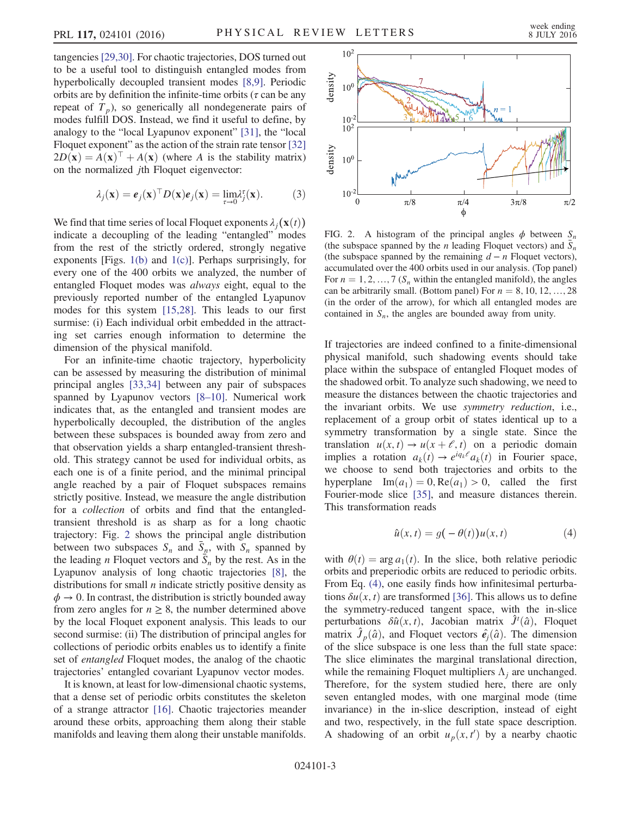tangencies [\[29,30\]](#page-4-17). For chaotic trajectories, DOS turned out to be a useful tool to distinguish entangled modes from hyperbolically decoupled transient modes [\[8,9\]](#page-4-5). Periodic orbits are by definition the infinite-time orbits ( $\tau$  can be any repeat of  $T_p$ ), so generically all nondegenerate pairs of modes fulfill DOS. Instead, we find it useful to define, by analogy to the "local Lyapunov exponent" [\[31\],](#page-4-18) the "local Floquet exponent" as the action of the strain rate tensor [\[32\]](#page-4-19)  $2D(\mathbf{x}) = A(\mathbf{x})^\top + A(\mathbf{x})$  (where A is the stability matrix) on the normalized jth Floquet eigenvector:

$$
\lambda_j(\mathbf{x}) = e_j(\mathbf{x})^\top D(\mathbf{x}) e_j(\mathbf{x}) = \lim_{\tau \to 0} \lambda_j^{\tau}(\mathbf{x}). \tag{3}
$$

We find that time series of local Floquet exponents  $\lambda_i(\mathbf{x}(t))$ indicate a decoupling of the leading "entangled" modes from the rest of the strictly ordered, strongly negative exponents [Figs.  $1(b)$  and  $1(c)$ ]. Perhaps surprisingly, for every one of the 400 orbits we analyzed, the number of entangled Floquet modes was always eight, equal to the previously reported number of the entangled Lyapunov modes for this system [\[15,28\].](#page-4-8) This leads to our first surmise: (i) Each individual orbit embedded in the attracting set carries enough information to determine the dimension of the physical manifold.

For an infinite-time chaotic trajectory, hyperbolicity can be assessed by measuring the distribution of minimal principal angles [\[33,34\]](#page-4-20) between any pair of subspaces spanned by Lyapunov vectors [8–[10\]](#page-4-5). Numerical work indicates that, as the entangled and transient modes are hyperbolically decoupled, the distribution of the angles between these subspaces is bounded away from zero and that observation yields a sharp entangled-transient threshold. This strategy cannot be used for individual orbits, as each one is of a finite period, and the minimal principal angle reached by a pair of Floquet subspaces remains strictly positive. Instead, we measure the angle distribution for a collection of orbits and find that the entangledtransient threshold is as sharp as for a long chaotic trajectory: Fig. [2](#page-2-0) shows the principal angle distribution between two subspaces  $S_n$  and  $S_n$ , with  $S_n$  spanned by the leading *n* Floquet vectors and  $\vec{S}_n$  by the rest. As in the Lyapunov analysis of long chaotic trajectories [\[8\]](#page-4-5), the distributions for small  $n$  indicate strictly positive density as  $\phi \rightarrow 0$ . In contrast, the distribution is strictly bounded away from zero angles for  $n \geq 8$ , the number determined above by the local Floquet exponent analysis. This leads to our second surmise: (ii) The distribution of principal angles for collections of periodic orbits enables us to identify a finite set of entangled Floquet modes, the analog of the chaotic trajectories' entangled covariant Lyapunov vector modes.

It is known, at least for low-dimensional chaotic systems, that a dense set of periodic orbits constitutes the skeleton of a strange attractor [\[16\]](#page-4-9). Chaotic trajectories meander around these orbits, approaching them along their stable manifolds and leaving them along their unstable manifolds.

<span id="page-2-0"></span>

FIG. 2. A histogram of the principal angles  $\phi$  between  $S_n$ (the subspace spanned by the *n* leading Floquet vectors) and  $\bar{S}_n$ (the subspace spanned by the remaining  $d - n$  Floquet vectors), accumulated over the 400 orbits used in our analysis. (Top panel) For  $n = 1, 2, ..., 7$  (S<sub>n</sub> within the entangled manifold), the angles can be arbitrarily small. (Bottom panel) For  $n = 8, 10, 12, \ldots, 28$ (in the order of the arrow), for which all entangled modes are contained in  $S_n$ , the angles are bounded away from unity.

If trajectories are indeed confined to a finite-dimensional physical manifold, such shadowing events should take place within the subspace of entangled Floquet modes of the shadowed orbit. To analyze such shadowing, we need to measure the distances between the chaotic trajectories and the invariant orbits. We use symmetry reduction, i.e., replacement of a group orbit of states identical up to a symmetry transformation by a single state. Since the translation  $u(x, t) \rightarrow u(x + \ell, t)$  on a periodic domain implies a rotation  $a_k(t) \rightarrow e^{iq_k t} a_k(t)$  in Fourier space, we choose to send both trajectories and orbits to the hyperplane Im $(a_1) = 0$ , Re $(a_1) > 0$ , called the first Fourier-mode slice [\[35\]](#page-4-21), and measure distances therein. This transformation reads

$$
\hat{u}(x,t) = g(-\theta(t))u(x,t)
$$
\n(4)

<span id="page-2-1"></span>with  $\theta(t) = \arg a_1(t)$ . In the slice, both relative periodic orbits and preperiodic orbits are reduced to periodic orbits. From Eq. [\(4\)](#page-2-1), one easily finds how infinitesimal perturbations  $\delta u(x, t)$  are transformed [\[36\].](#page-4-22) This allows us to define the symmetry-reduced tangent space, with the in-slice perturbations  $\delta \hat{u}(x, t)$ , Jacobian matrix  $\hat{J}^{t}(\hat{a})$ , Floquet matrix  $\hat{J}_p(\hat{a})$ , and Floquet vectors  $\hat{e}_j(\hat{a})$ . The dimension of the slice subspace is one less than the full state space: The slice eliminates the marginal translational direction, while the remaining Floquet multipliers  $\Lambda_i$  are unchanged. Therefore, for the system studied here, there are only seven entangled modes, with one marginal mode (time invariance) in the in-slice description, instead of eight and two, respectively, in the full state space description. A shadowing of an orbit  $u_p(x, t')$  by a nearby chaotic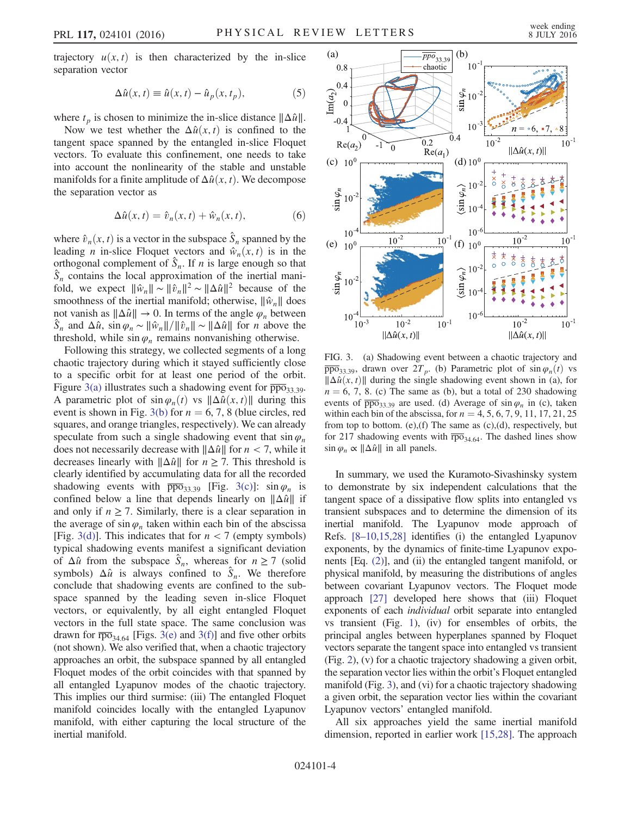$0.8$ 

trajectory  $u(x, t)$  is then characterized by the in-slice separation vector

$$
\Delta \hat{u}(x,t) \equiv \hat{u}(x,t) - \hat{u}_p(x,t_p), \tag{5}
$$

where  $t_p$  is chosen to minimize the in-slice distance  $||\Delta \hat{u}||$ .

Now we test whether the  $\Delta \hat{u}(x, t)$  is confined to the tangent space spanned by the entangled in-slice Floquet vectors. To evaluate this confinement, one needs to take into account the nonlinearity of the stable and unstable manifolds for a finite amplitude of  $\Delta \hat{u}(x, t)$ . We decompose the separation vector as

$$
\Delta \hat{u}(x,t) = \hat{v}_n(x,t) + \hat{w}_n(x,t), \tag{6}
$$

where  $\hat{v}_n(x, t)$  is a vector in the subspace  $\hat{S}_n$  spanned by the leading *n* in-slice Floquet vectors and  $\hat{w}_n(x, t)$  is in the orthogonal complement of  $\hat{S}_n$ . If *n* is large enough so that  $S_n$  contains the local approximation of the inertial manifold, we expect  $\|\hat{w}_n\| \sim \|\hat{v}_n\|^2 \sim \|\Delta \hat{u}\|^2$  because of the smoothness of the inertial manifold; otherwise,  $\|\hat{w}_n\|$  does not vanish as  $\|\Delta \hat{u}\| \to 0$ . In terms of the angle  $\varphi_n$  between  $\hat{S}_n$  and  $\Delta \hat{u}$ ,  $\sin \varphi_n \sim ||\hat{w}_n||/||\hat{v}_n|| \sim ||\Delta \hat{u}||$  for *n* above the threshold, while  $\sin \varphi_n$  remains nonvanishing otherwise.

Following this strategy, we collected segments of a long chaotic trajectory during which it stayed sufficiently close to a specific orbit for at least one period of the orbit. Figure [3\(a\)](#page-3-0) illustrates such a shadowing event for  $\overline{ppo}_{33,39}$ . A parametric plot of  $\sin \varphi_n(t)$  vs  $\|\Delta \hat{u}(x, t)\|$  during this event is shown in Fig. [3\(b\)](#page-3-0) for  $n = 6, 7, 8$  (blue circles, red squares, and orange triangles, respectively). We can already speculate from such a single shadowing event that  $\sin \varphi_n$ does not necessarily decrease with  $\|\Delta \hat{u}\|$  for  $n < 7$ , while it decreases linearly with  $\|\Delta \hat{u}\|$  for  $n \geq 7$ . This threshold is clearly identified by accumulating data for all the recorded shadowing events with  $\overline{ppo}_{33.39}$  [Fig. [3\(c\)](#page-3-0)]:  $\sin \varphi_n$  is confined below a line that depends linearly on  $\|\Delta \hat{u}\|$  if and only if  $n \ge 7$ . Similarly, there is a clear separation in the average of sin  $\varphi_n$  taken within each bin of the abscissa [Fig. [3\(d\)\]](#page-3-0). This indicates that for  $n < 7$  (empty symbols) typical shadowing events manifest a significant deviation of  $\Delta \hat{u}$  from the subspace  $\hat{S}_n$ , whereas for  $n \ge 7$  (solid symbols)  $\Delta \hat{u}$  is always confined to  $\hat{S}_n$ . We therefore conclude that shadowing events are confined to the subspace spanned by the leading seven in-slice Floquet vectors, or equivalently, by all eight entangled Floquet vectors in the full state space. The same conclusion was drawn for  $\overline{rpo}_{34.64}$  [Figs. [3\(e\)](#page-3-0) and [3\(f\)](#page-3-0)] and five other orbits (not shown). We also verified that, when a chaotic trajectory approaches an orbit, the subspace spanned by all entangled Floquet modes of the orbit coincides with that spanned by all entangled Lyapunov modes of the chaotic trajectory. This implies our third surmise: (iii) The entangled Floquet manifold coincides locally with the entangled Lyapunov manifold, with either capturing the local structure of the inertial manifold.

<span id="page-3-0"></span>

8 JULY 2016



FIG. 3. (a) Shadowing event between a chaotic trajectory and  $\overline{ppo}_{33.39}$ , drawn over  $2T_p$ . (b) Parametric plot of sin  $\varphi_n(t)$  vs  $\|\Delta \hat{u}(x, t)\|$  during the single shadowing event shown in (a), for  $n = 6, 7, 8$ . (c) The same as (b), but a total of 230 shadowing events of  $\overline{ppo}_{33.39}$  are used. (d) Average of sin  $\varphi_n$  in (c), taken within each bin of the abscissa, for  $n = 4, 5, 6, 7, 9, 11, 17, 21, 25$ from top to bottom.  $(e)$ , $(f)$  The same as  $(c)$ , $(d)$ , respectively, but for 217 shadowing events with  $\overline{rpo}_{34.64}$ . The dashed lines show  $\sin \varphi_n \propto ||\Delta \hat{u}||$  in all panels.

In summary, we used the Kuramoto-Sivashinsky system to demonstrate by six independent calculations that the tangent space of a dissipative flow splits into entangled vs transient subspaces and to determine the dimension of its inertial manifold. The Lyapunov mode approach of Refs. [8–[10,15,28\]](#page-4-5) identifies (i) the entangled Lyapunov exponents, by the dynamics of finite-time Lyapunov exponents [Eq. [\(2\)\]](#page-1-2), and (ii) the entangled tangent manifold, or physical manifold, by measuring the distributions of angles between covariant Lyapunov vectors. The Floquet mode approach [\[27\]](#page-4-15) developed here shows that (iii) Floquet exponents of each individual orbit separate into entangled vs transient (Fig. [1](#page-1-1)), (iv) for ensembles of orbits, the principal angles between hyperplanes spanned by Floquet vectors separate the tangent space into entangled vs transient (Fig. [2](#page-2-0)), (v) for a chaotic trajectory shadowing a given orbit, the separation vector lies within the orbit's Floquet entangled manifold (Fig. [3\)](#page-3-0), and (vi) for a chaotic trajectory shadowing a given orbit, the separation vector lies within the covariant Lyapunov vectors' entangled manifold.

All six approaches yield the same inertial manifold dimension, reported in earlier work [\[15,28\].](#page-4-8) The approach